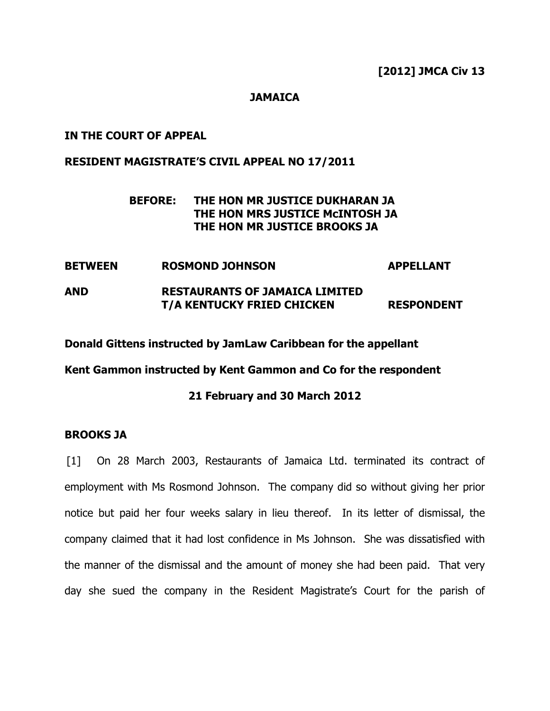## **JAMAICA**

#### IN THE COURT OF APPEAL

## RESIDENT MAGISTRATE'S CIVIL APPEAL NO 17/2011

# BEFORE: THE HON MR JUSTICE DUKHARAN JA THE HON MRS JUSTICE McINTOSH JA THE HON MR JUSTICE BROOKS JA

BETWEEN ROSMOND JOHNSON APPELLANT AND RESTAURANTS OF JAMAICA LIMITED T/A KENTUCKY FRIED CHICKEN RESPONDENT

Donald Gittens instructed by JamLaw Caribbean for the appellant

Kent Gammon instructed by Kent Gammon and Co for the respondent

#### 21 February and 30 March 2012

#### BROOKS JA

[1] On 28 March 2003, Restaurants of Jamaica Ltd. terminated its contract of employment with Ms Rosmond Johnson. The company did so without giving her prior notice but paid her four weeks salary in lieu thereof. In its letter of dismissal, the company claimed that it had lost confidence in Ms Johnson. She was dissatisfied with the manner of the dismissal and the amount of money she had been paid. That very day she sued the company in the Resident Magistrate's Court for the parish of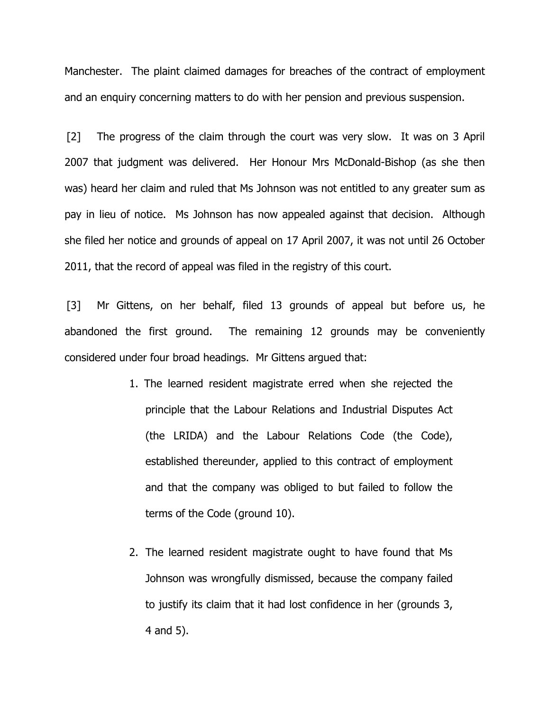Manchester. The plaint claimed damages for breaches of the contract of employment and an enquiry concerning matters to do with her pension and previous suspension.

[2] The progress of the claim through the court was very slow. It was on 3 April 2007 that judgment was delivered. Her Honour Mrs McDonald-Bishop (as she then was) heard her claim and ruled that Ms Johnson was not entitled to any greater sum as pay in lieu of notice. Ms Johnson has now appealed against that decision. Although she filed her notice and grounds of appeal on 17 April 2007, it was not until 26 October 2011, that the record of appeal was filed in the registry of this court.

[3] Mr Gittens, on her behalf, filed 13 grounds of appeal but before us, he abandoned the first ground. The remaining 12 grounds may be conveniently considered under four broad headings. Mr Gittens argued that:

- 1. The learned resident magistrate erred when she rejected the principle that the Labour Relations and Industrial Disputes Act (the LRIDA) and the Labour Relations Code (the Code), established thereunder, applied to this contract of employment and that the company was obliged to but failed to follow the terms of the Code (ground 10).
- 2. The learned resident magistrate ought to have found that Ms Johnson was wrongfully dismissed, because the company failed to justify its claim that it had lost confidence in her (grounds 3, 4 and 5).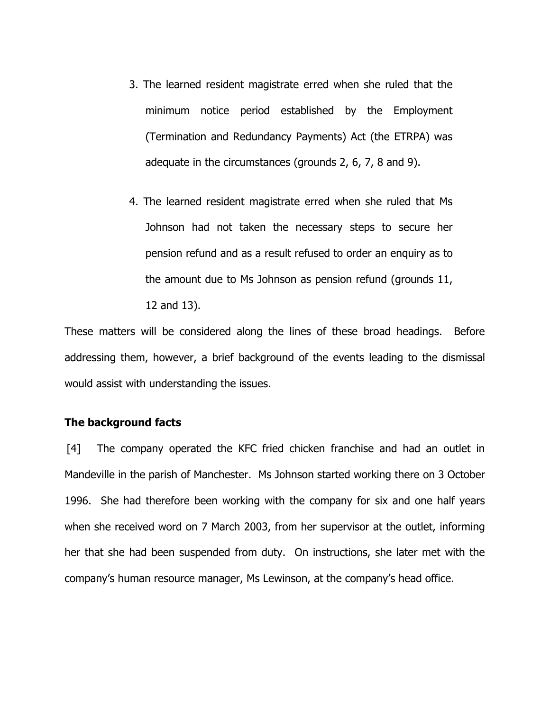- 3. The learned resident magistrate erred when she ruled that the minimum notice period established by the Employment (Termination and Redundancy Payments) Act (the ETRPA) was adequate in the circumstances (grounds 2, 6, 7, 8 and 9).
- 4. The learned resident magistrate erred when she ruled that Ms Johnson had not taken the necessary steps to secure her pension refund and as a result refused to order an enquiry as to the amount due to Ms Johnson as pension refund (grounds 11, 12 and 13).

These matters will be considered along the lines of these broad headings. Before addressing them, however, a brief background of the events leading to the dismissal would assist with understanding the issues.

## The background facts

[4] The company operated the KFC fried chicken franchise and had an outlet in Mandeville in the parish of Manchester. Ms Johnson started working there on 3 October 1996. She had therefore been working with the company for six and one half years when she received word on 7 March 2003, from her supervisor at the outlet, informing her that she had been suspended from duty. On instructions, she later met with the company's human resource manager, Ms Lewinson, at the company's head office.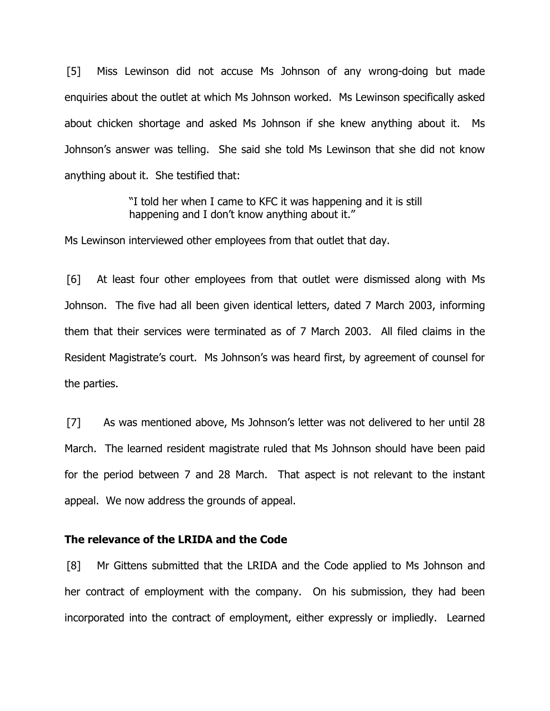[5] Miss Lewinson did not accuse Ms Johnson of any wrong-doing but made enquiries about the outlet at which Ms Johnson worked. Ms Lewinson specifically asked about chicken shortage and asked Ms Johnson if she knew anything about it. Ms Johnson's answer was telling. She said she told Ms Lewinson that she did not know anything about it. She testified that:

> "I told her when I came to KFC it was happening and it is still happening and I don't know anything about it."

Ms Lewinson interviewed other employees from that outlet that day.

[6] At least four other employees from that outlet were dismissed along with Ms Johnson. The five had all been given identical letters, dated 7 March 2003, informing them that their services were terminated as of 7 March 2003. All filed claims in the Resident Magistrate's court. Ms Johnson's was heard first, by agreement of counsel for the parties.

[7] As was mentioned above, Ms Johnson's letter was not delivered to her until 28 March. The learned resident magistrate ruled that Ms Johnson should have been paid for the period between 7 and 28 March. That aspect is not relevant to the instant appeal. We now address the grounds of appeal.

#### The relevance of the LRIDA and the Code

[8] Mr Gittens submitted that the LRIDA and the Code applied to Ms Johnson and her contract of employment with the company. On his submission, they had been incorporated into the contract of employment, either expressly or impliedly. Learned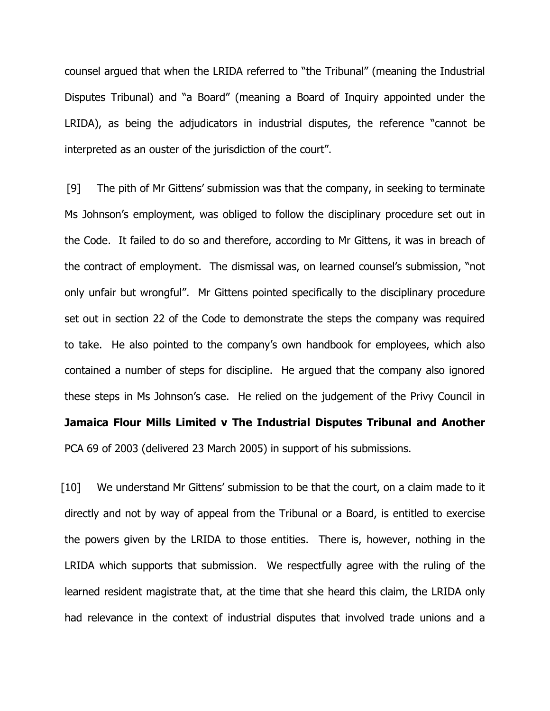counsel argued that when the LRIDA referred to "the Tribunal" (meaning the Industrial Disputes Tribunal) and "a Board" (meaning a Board of Inquiry appointed under the LRIDA), as being the adjudicators in industrial disputes, the reference "cannot be interpreted as an ouster of the jurisdiction of the court".

[9] The pith of Mr Gittens' submission was that the company, in seeking to terminate Ms Johnson's employment, was obliged to follow the disciplinary procedure set out in the Code. It failed to do so and therefore, according to Mr Gittens, it was in breach of the contract of employment. The dismissal was, on learned counsel's submission, "not only unfair but wrongful". Mr Gittens pointed specifically to the disciplinary procedure set out in section 22 of the Code to demonstrate the steps the company was required to take. He also pointed to the company's own handbook for employees, which also contained a number of steps for discipline. He argued that the company also ignored these steps in Ms Johnson's case. He relied on the judgement of the Privy Council in Jamaica Flour Mills Limited v The Industrial Disputes Tribunal and Another PCA 69 of 2003 (delivered 23 March 2005) in support of his submissions.

[10] We understand Mr Gittens' submission to be that the court, on a claim made to it directly and not by way of appeal from the Tribunal or a Board, is entitled to exercise the powers given by the LRIDA to those entities. There is, however, nothing in the LRIDA which supports that submission. We respectfully agree with the ruling of the learned resident magistrate that, at the time that she heard this claim, the LRIDA only had relevance in the context of industrial disputes that involved trade unions and a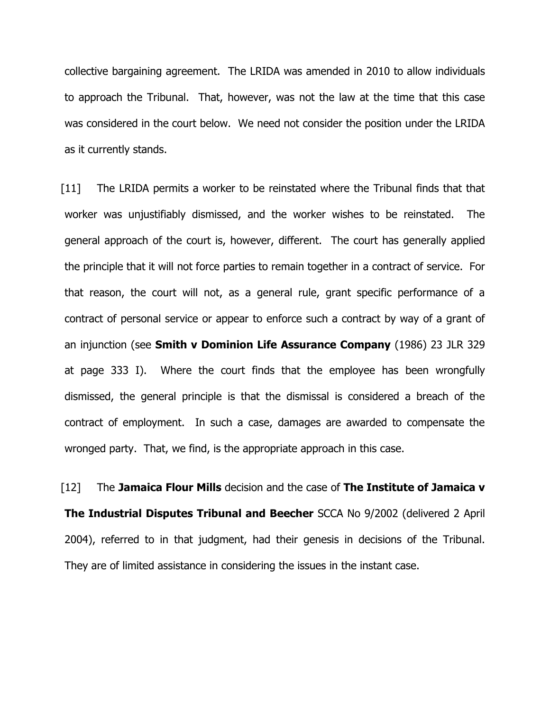collective bargaining agreement. The LRIDA was amended in 2010 to allow individuals to approach the Tribunal. That, however, was not the law at the time that this case was considered in the court below. We need not consider the position under the LRIDA as it currently stands.

[11] The LRIDA permits a worker to be reinstated where the Tribunal finds that that worker was unjustifiably dismissed, and the worker wishes to be reinstated. The general approach of the court is, however, different. The court has generally applied the principle that it will not force parties to remain together in a contract of service. For that reason, the court will not, as a general rule, grant specific performance of a contract of personal service or appear to enforce such a contract by way of a grant of an injunction (see **Smith v Dominion Life Assurance Company** (1986) 23 JLR 329 at page 333 I). Where the court finds that the employee has been wrongfully dismissed, the general principle is that the dismissal is considered a breach of the contract of employment. In such a case, damages are awarded to compensate the wronged party. That, we find, is the appropriate approach in this case.

[12] The Jamaica Flour Mills decision and the case of The Institute of Jamaica v The Industrial Disputes Tribunal and Beecher SCCA No 9/2002 (delivered 2 April 2004), referred to in that judgment, had their genesis in decisions of the Tribunal. They are of limited assistance in considering the issues in the instant case.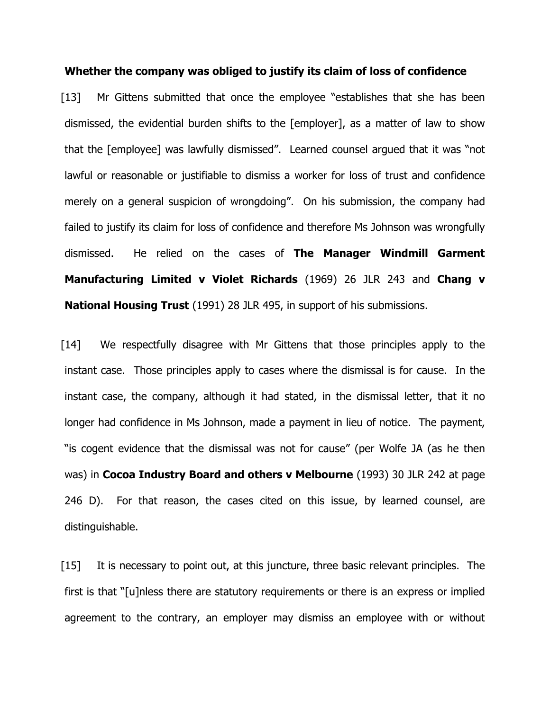Whether the company was obliged to justify its claim of loss of confidence

[13] Mr Gittens submitted that once the employee "establishes that she has been dismissed, the evidential burden shifts to the [employer], as a matter of law to show that the [employee] was lawfully dismissed". Learned counsel argued that it was "not lawful or reasonable or justifiable to dismiss a worker for loss of trust and confidence merely on a general suspicion of wrongdoing". On his submission, the company had failed to justify its claim for loss of confidence and therefore Ms Johnson was wrongfully dismissed. He relied on the cases of The Manager Windmill Garment Manufacturing Limited v Violet Richards (1969) 26 JLR 243 and Chang v **National Housing Trust** (1991) 28 JLR 495, in support of his submissions.

[14] We respectfully disagree with Mr Gittens that those principles apply to the instant case. Those principles apply to cases where the dismissal is for cause. In the instant case, the company, although it had stated, in the dismissal letter, that it no longer had confidence in Ms Johnson, made a payment in lieu of notice. The payment, "is cogent evidence that the dismissal was not for cause" (per Wolfe JA (as he then was) in Cocoa Industry Board and others v Melbourne (1993) 30 JLR 242 at page 246 D). For that reason, the cases cited on this issue, by learned counsel, are distinguishable.

[15] It is necessary to point out, at this juncture, three basic relevant principles. The first is that "[u]nless there are statutory requirements or there is an express or implied agreement to the contrary, an employer may dismiss an employee with or without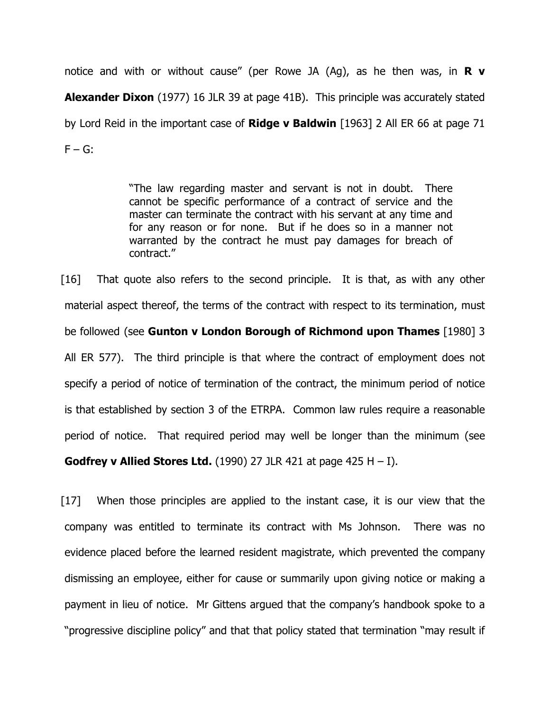notice and with or without cause" (per Rowe JA (Ag), as he then was, in  $\mathbb R \mathbf v$ **Alexander Dixon** (1977) 16 JLR 39 at page 41B). This principle was accurately stated by Lord Reid in the important case of **Ridge v Baldwin** [1963] 2 All ER 66 at page 71  $F - G$ :

> "The law regarding master and servant is not in doubt. There cannot be specific performance of a contract of service and the master can terminate the contract with his servant at any time and for any reason or for none. But if he does so in a manner not warranted by the contract he must pay damages for breach of contract."

[16] That quote also refers to the second principle. It is that, as with any other material aspect thereof, the terms of the contract with respect to its termination, must be followed (see Gunton v London Borough of Richmond upon Thames [1980] 3 All ER 577). The third principle is that where the contract of employment does not specify a period of notice of termination of the contract, the minimum period of notice is that established by section 3 of the ETRPA. Common law rules require a reasonable period of notice. That required period may well be longer than the minimum (see **Godfrey v Allied Stores Ltd.** (1990) 27 JLR 421 at page 425 H  $-$  I).

[17] When those principles are applied to the instant case, it is our view that the company was entitled to terminate its contract with Ms Johnson. There was no evidence placed before the learned resident magistrate, which prevented the company dismissing an employee, either for cause or summarily upon giving notice or making a payment in lieu of notice. Mr Gittens argued that the company's handbook spoke to a "progressive discipline policy" and that that policy stated that termination "may result if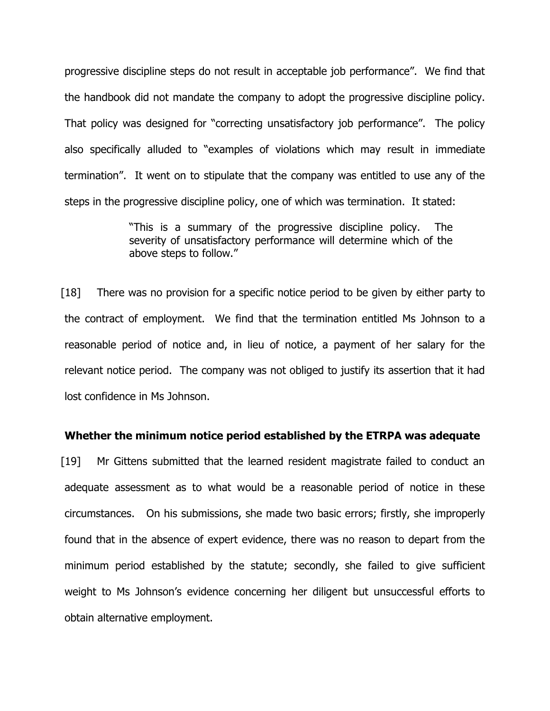progressive discipline steps do not result in acceptable job performance". We find that the handbook did not mandate the company to adopt the progressive discipline policy. That policy was designed for "correcting unsatisfactory job performance". The policy also specifically alluded to "examples of violations which may result in immediate termination". It went on to stipulate that the company was entitled to use any of the steps in the progressive discipline policy, one of which was termination. It stated:

> "This is a summary of the progressive discipline policy. The severity of unsatisfactory performance will determine which of the above steps to follow."

[18] There was no provision for a specific notice period to be given by either party to the contract of employment. We find that the termination entitled Ms Johnson to a reasonable period of notice and, in lieu of notice, a payment of her salary for the relevant notice period. The company was not obliged to justify its assertion that it had lost confidence in Ms Johnson.

### Whether the minimum notice period established by the ETRPA was adequate

[19] Mr Gittens submitted that the learned resident magistrate failed to conduct an adequate assessment as to what would be a reasonable period of notice in these circumstances. On his submissions, she made two basic errors; firstly, she improperly found that in the absence of expert evidence, there was no reason to depart from the minimum period established by the statute; secondly, she failed to give sufficient weight to Ms Johnson's evidence concerning her diligent but unsuccessful efforts to obtain alternative employment.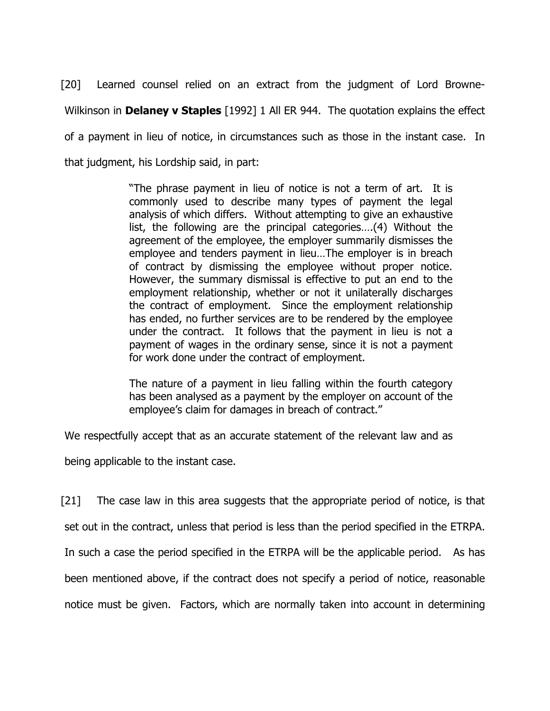[20] Learned counsel relied on an extract from the judgment of Lord Browne-Wilkinson in **Delaney v Staples** [1992] 1 All ER 944. The quotation explains the effect of a payment in lieu of notice, in circumstances such as those in the instant case. In that judgment, his Lordship said, in part:

> "The phrase payment in lieu of notice is not a term of art. It is commonly used to describe many types of payment the legal analysis of which differs. Without attempting to give an exhaustive list, the following are the principal categories….(4) Without the agreement of the employee, the employer summarily dismisses the employee and tenders payment in lieu…The employer is in breach of contract by dismissing the employee without proper notice. However, the summary dismissal is effective to put an end to the employment relationship, whether or not it unilaterally discharges the contract of employment. Since the employment relationship has ended, no further services are to be rendered by the employee under the contract. It follows that the payment in lieu is not a payment of wages in the ordinary sense, since it is not a payment for work done under the contract of employment.

> The nature of a payment in lieu falling within the fourth category has been analysed as a payment by the employer on account of the employee's claim for damages in breach of contract."

We respectfully accept that as an accurate statement of the relevant law and as

being applicable to the instant case.

[21] The case law in this area suggests that the appropriate period of notice, is that set out in the contract, unless that period is less than the period specified in the ETRPA. In such a case the period specified in the ETRPA will be the applicable period. As has been mentioned above, if the contract does not specify a period of notice, reasonable notice must be given. Factors, which are normally taken into account in determining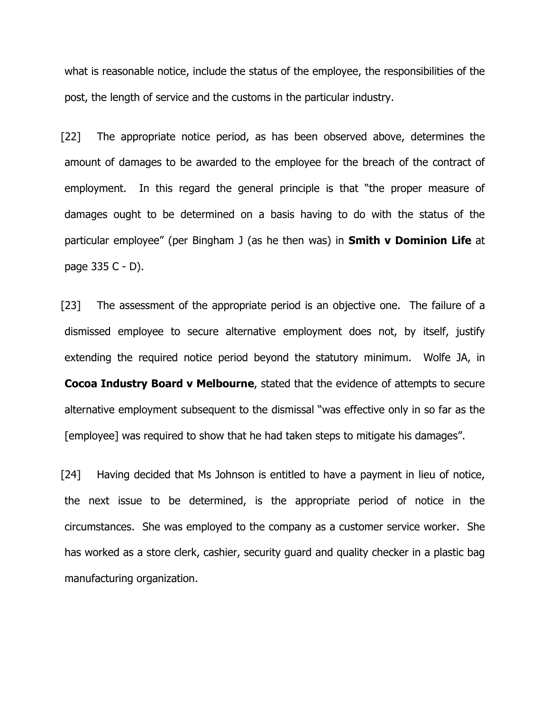what is reasonable notice, include the status of the employee, the responsibilities of the post, the length of service and the customs in the particular industry.

[22] The appropriate notice period, as has been observed above, determines the amount of damages to be awarded to the employee for the breach of the contract of employment. In this regard the general principle is that "the proper measure of damages ought to be determined on a basis having to do with the status of the particular employee" (per Bingham J (as he then was) in **Smith v Dominion Life** at page 335 C - D).

[23] The assessment of the appropriate period is an objective one. The failure of a dismissed employee to secure alternative employment does not, by itself, justify extending the required notice period beyond the statutory minimum. Wolfe JA, in Cocoa Industry Board v Melbourne, stated that the evidence of attempts to secure alternative employment subsequent to the dismissal "was effective only in so far as the [employee] was required to show that he had taken steps to mitigate his damages".

[24] Having decided that Ms Johnson is entitled to have a payment in lieu of notice, the next issue to be determined, is the appropriate period of notice in the circumstances. She was employed to the company as a customer service worker. She has worked as a store clerk, cashier, security guard and quality checker in a plastic bag manufacturing organization.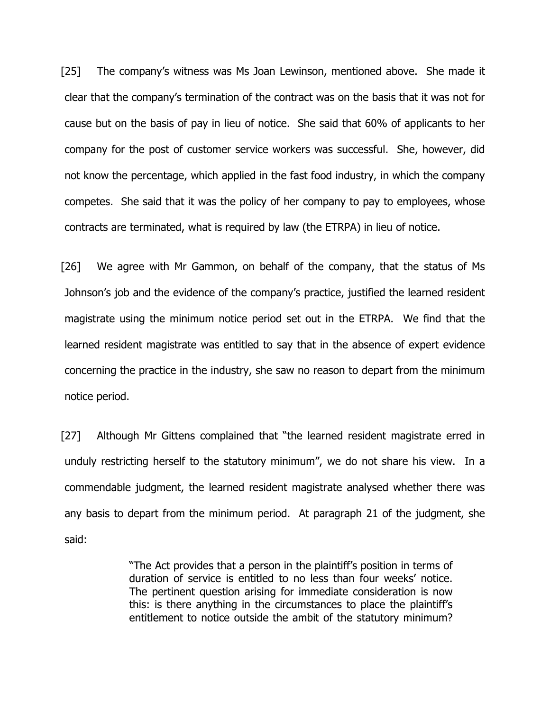[25] The company's witness was Ms Joan Lewinson, mentioned above. She made it clear that the company's termination of the contract was on the basis that it was not for cause but on the basis of pay in lieu of notice. She said that 60% of applicants to her company for the post of customer service workers was successful. She, however, did not know the percentage, which applied in the fast food industry, in which the company competes. She said that it was the policy of her company to pay to employees, whose contracts are terminated, what is required by law (the ETRPA) in lieu of notice.

[26] We agree with Mr Gammon, on behalf of the company, that the status of Ms Johnson's job and the evidence of the company's practice, justified the learned resident magistrate using the minimum notice period set out in the ETRPA. We find that the learned resident magistrate was entitled to say that in the absence of expert evidence concerning the practice in the industry, she saw no reason to depart from the minimum notice period.

[27] Although Mr Gittens complained that "the learned resident magistrate erred in unduly restricting herself to the statutory minimum", we do not share his view. In a commendable judgment, the learned resident magistrate analysed whether there was any basis to depart from the minimum period. At paragraph 21 of the judgment, she said:

> "The Act provides that a person in the plaintiff's position in terms of duration of service is entitled to no less than four weeks' notice. The pertinent question arising for immediate consideration is now this: is there anything in the circumstances to place the plaintiff's entitlement to notice outside the ambit of the statutory minimum?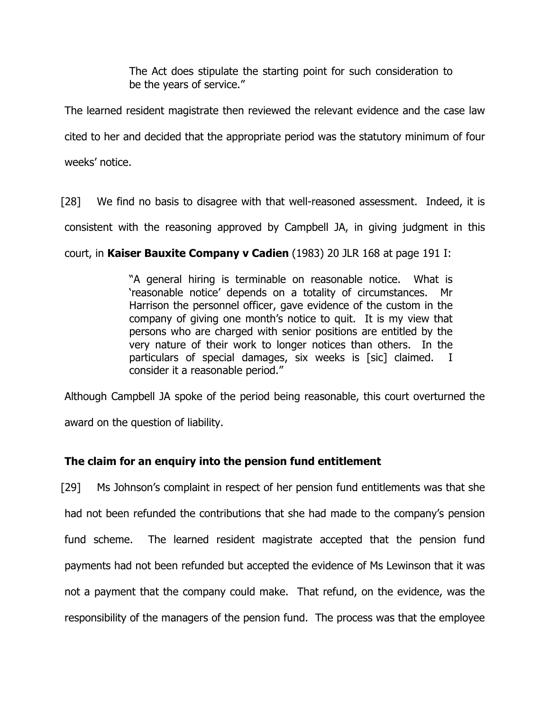The Act does stipulate the starting point for such consideration to be the years of service."

The learned resident magistrate then reviewed the relevant evidence and the case law cited to her and decided that the appropriate period was the statutory minimum of four weeks' notice.

[28] We find no basis to disagree with that well-reasoned assessment. Indeed, it is

consistent with the reasoning approved by Campbell JA, in giving judgment in this

court, in Kaiser Bauxite Company v Cadien (1983) 20 JLR 168 at page 191 I:

"A general hiring is terminable on reasonable notice. What is 'reasonable notice' depends on a totality of circumstances. Mr Harrison the personnel officer, gave evidence of the custom in the company of giving one month's notice to quit. It is my view that persons who are charged with senior positions are entitled by the very nature of their work to longer notices than others. In the particulars of special damages, six weeks is [sic] claimed. I consider it a reasonable period."

Although Campbell JA spoke of the period being reasonable, this court overturned the award on the question of liability.

# The claim for an enquiry into the pension fund entitlement

[29] Ms Johnson's complaint in respect of her pension fund entitlements was that she had not been refunded the contributions that she had made to the company's pension fund scheme. The learned resident magistrate accepted that the pension fund payments had not been refunded but accepted the evidence of Ms Lewinson that it was not a payment that the company could make. That refund, on the evidence, was the responsibility of the managers of the pension fund. The process was that the employee